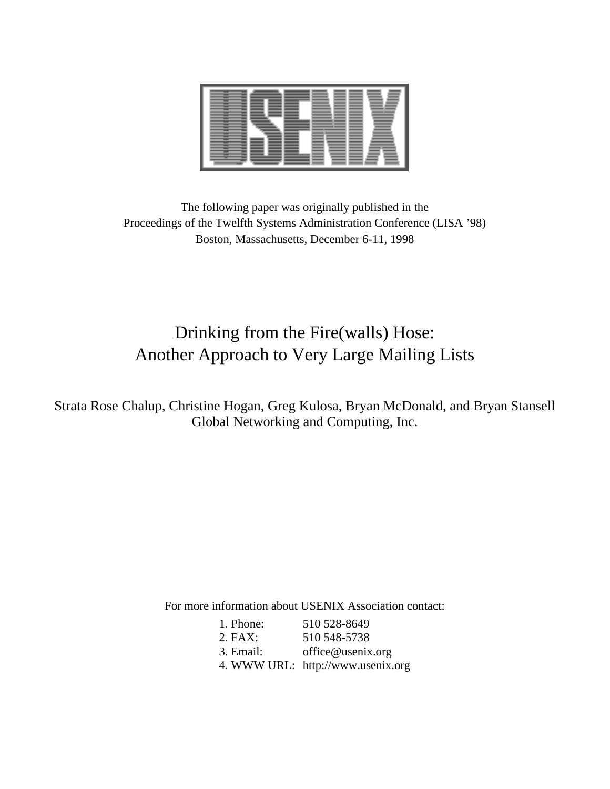

The following paper was originally published in the Proceedings of the Twelfth Systems Administration Conference (LISA '98) Boston, Massachusetts, December 6-11, 1998

# Drinking from the Fire(walls) Hose: Another Approach to Very Large Mailing Lists

Strata Rose Chalup, Christine Hogan, Greg Kulosa, Bryan McDonald, and Bryan Stansell Global Networking and Computing, Inc.

For more information about USENIX Association contact:

| 1. Phone: | 510 528-8649                      |
|-----------|-----------------------------------|
| 2. FAX:   | 510 548-5738                      |
| 3. Email: | office@usenix.org                 |
|           | 4. WWW URL: http://www.usenix.org |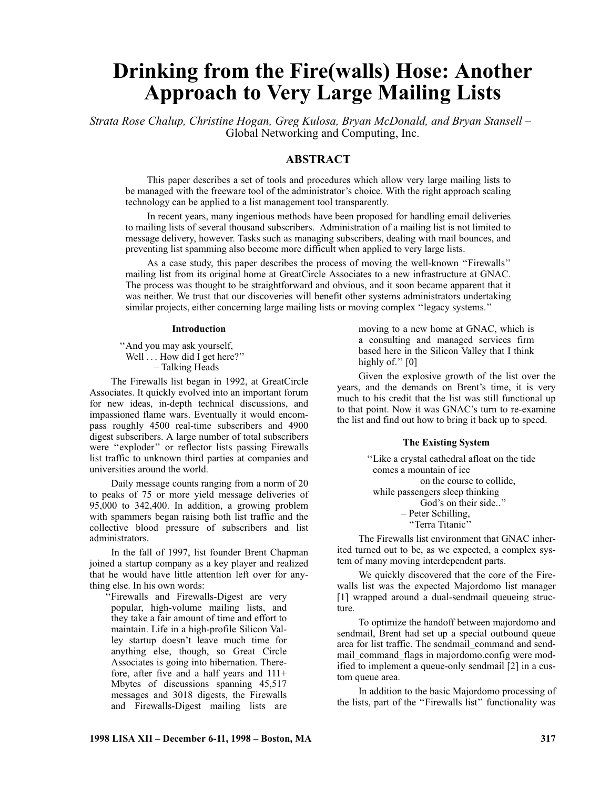# **Drinking from the Fire(walls) Hose: Another Approach to Very Large Mailing Lists**

*Strata Rose Chalup, Christine Hogan, Greg Kulosa, Bryan McDonald, and Bryan Stansell* – Global Networking and Computing, Inc.

# **ABSTRACT**

This paper describes a set of tools and procedures which allow very large mailing lists to be managed with the freeware tool of the administrator's choice. With the right approach scaling technology can be applied to a list management tool transparently.

In recent years, many ingenious methods have been proposed for handling email deliveries to mailing lists of several thousand subscribers. Administration of a mailing list is not limited to message delivery, however. Tasks such as managing subscribers, dealing with mail bounces, and preventing list spamming also become more difficult when applied to very large lists.

As a case study, this paper describes the process of moving the well-known ''Firewalls'' mailing list from its original home at GreatCircle Associates to a new infrastructure at GNAC. The process was thought to be straightforward and obvious, and it soon became apparent that it was neither. We trust that our discoveries will benefit other systems administrators undertaking similar projects, either concerning large mailing lists or moving complex ''legacy systems.''

#### **Introduction**

''And you may ask yourself, Well ... How did I get here?" – Talking Heads

The Firewalls list began in 1992, at GreatCircle Associates. It quickly evolved into an important forum for new ideas, in-depth technical discussions, and impassioned flame wars. Eventually it would encompass roughly 4500 real-time subscribers and 4900 digest subscribers. A large number of total subscribers were "exploder" or reflector lists passing Firewalls list traffic to unknown third parties at companies and universities around the world.

Daily message counts ranging from a norm of 20 to peaks of 75 or more yield message deliveries of 95,000 to 342,400. In addition, a growing problem with spammers began raising both list traffic and the collective blood pressure of subscribers and list administrators.

In the fall of 1997, list founder Brent Chapman joined a startup company as a key player and realized that he would have little attention left over for anything else. In his own words:

''Firewalls and Firewalls-Digest are very popular, high-volume mailing lists, and they take a fair amount of time and effort to maintain. Life in a high-profile Silicon Valley startup doesn't leave much time for anything else, though, so Great Circle Associates is going into hibernation. Therefore, after five and a half years and 111+ Mbytes of discussions spanning 45,517 messages and 3018 digests, the Firewalls and Firewalls-Digest mailing lists are moving to a new home at GNAC, which is a consulting and managed services firm based here in the Silicon Valley that I think highly of." [0]

Given the explosive growth of the list over the years, and the demands on Brent's time, it is very much to his credit that the list was still functional up to that point. Now it was GNAC's turn to re-examine the list and find out how to bring it back up to speed.

# **The Existing System**

''Like a crystal cathedral afloat on the tide comes a mountain of ice on the course to collide, while passengers sleep thinking God's on their side.." – Peter Schilling, ''Terra Titanic''

The Firewalls list environment that GNAC inherited turned out to be, as we expected, a complex system of many moving interdependent parts.

We quickly discovered that the core of the Firewalls list was the expected Majordomo list manager [1] wrapped around a dual-sendmail queueing structure.

To optimize the handoff between majordomo and sendmail, Brent had set up a special outbound queue area for list traffic. The sendmail\_command and sendmail command flags in majordomo.config were modified to implement a queue-only sendmail [2] in a custom queue area.

In addition to the basic Majordomo processing of the lists, part of the ''Firewalls list'' functionality was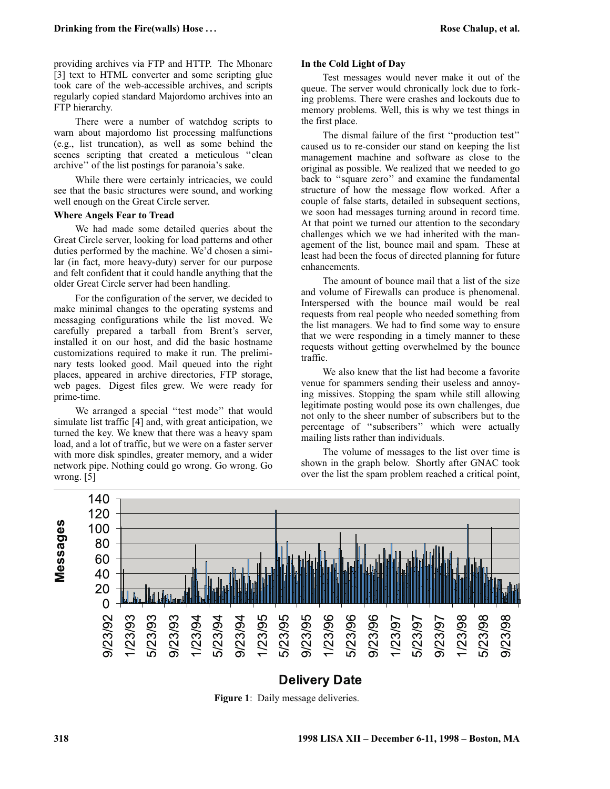providing archives via FTP and HTTP. The Mhonarc [3] text to HTML converter and some scripting glue took care of the web-accessible archives, and scripts regularly copied standard Majordomo archives into an FTP hierarchy.

There were a number of watchdog scripts to warn about majordomo list processing malfunctions (e.g., list truncation), as well as some behind the scenes scripting that created a meticulous ''clean archive'' of the list postings for paranoia's sake.

While there were certainly intricacies, we could see that the basic structures were sound, and working well enough on the Great Circle server.

# **Where Angels Fear to Tread**

We had made some detailed queries about the Great Circle server, looking for load patterns and other duties performed by the machine. We'd chosen a similar (in fact, more heavy-duty) server for our purpose and felt confident that it could handle anything that the older Great Circle server had been handling.

For the configuration of the server, we decided to make minimal changes to the operating systems and messaging configurations while the list moved. We carefully prepared a tarball from Brent's server, installed it on our host, and did the basic hostname customizations required to make it run. The preliminary tests looked good. Mail queued into the right places, appeared in archive directories, FTP storage, web pages. Digest files grew. We were ready for prime-time.

We arranged a special "test mode" that would simulate list traffic [4] and, with great anticipation, we turned the key. We knew that there was a heavy spam load, and a lot of traffic, but we were on a faster server with more disk spindles, greater memory, and a wider network pipe. Nothing could go wrong. Go wrong. Go wrong. [5]

# **In the Cold Light of Day**

Test messages would never make it out of the queue. The server would chronically lock due to forking problems. There were crashes and lockouts due to memory problems. Well, this is why we test things in the first place.

The dismal failure of the first ''production test'' caused us to re-consider our stand on keeping the list management machine and software as close to the original as possible. We realized that we needed to go back to ''square zero'' and examine the fundamental structure of how the message flow worked. After a couple of false starts, detailed in subsequent sections, we soon had messages turning around in record time. At that point we turned our attention to the secondary challenges which we we had inherited with the management of the list, bounce mail and spam. These at least had been the focus of directed planning for future enhancements.

The amount of bounce mail that a list of the size and volume of Firewalls can produce is phenomenal. Interspersed with the bounce mail would be real requests from real people who needed something from the list managers. We had to find some way to ensure that we were responding in a timely manner to these requests without getting overwhelmed by the bounce traffic.

We also knew that the list had become a favorite venue for spammers sending their useless and annoying missives. Stopping the spam while still allowing legitimate posting would pose its own challenges, due not only to the sheer number of subscribers but to the percentage of ''subscribers'' which were actually mailing lists rather than individuals.

The volume of messages to the list over time is shown in the graph below. Shortly after GNAC took over the list the spam problem reached a critical point,



# **Delivery Date**

**Figure 1**: Daily message deliveries.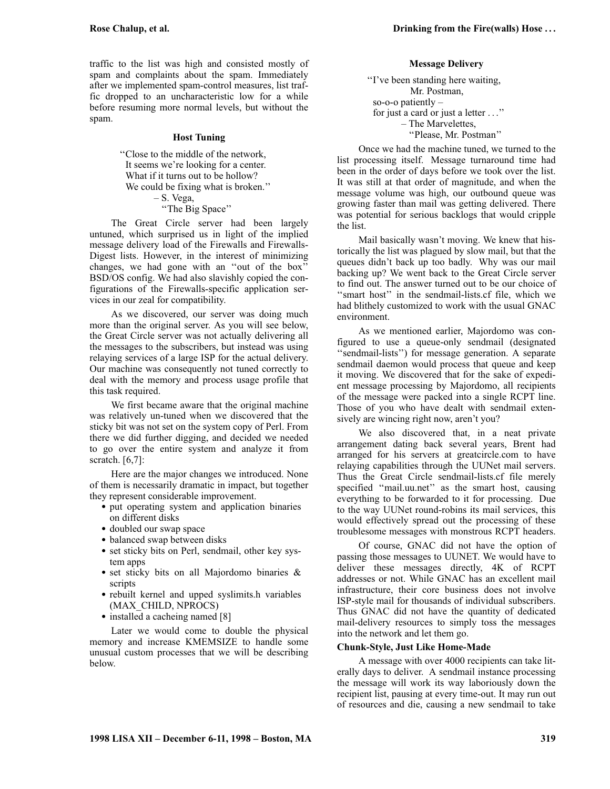traffic to the list was high and consisted mostly of spam and complaints about the spam. Immediately after we implemented spam-control measures, list traffic dropped to an uncharacteristic low for a while before resuming more normal levels, but without the spam.

# **Host Tuning**

''Close to the middle of the network, It seems we're looking for a center. What if it turns out to be hollow? We could be fixing what is broken.'' – S. Vega, ''The Big Space''

The Great Circle server had been largely untuned, which surprised us in light of the implied message delivery load of the Firewalls and Firewalls-Digest lists. However, in the interest of minimizing changes, we had gone with an ''out of the box'' BSD/OS config. We had also slavishly copied the configurations of the Firewalls-specific application services in our zeal for compatibility.

As we discovered, our server was doing much more than the original server. As you will see below, the Great Circle server was not actually delivering all the messages to the subscribers, but instead was using relaying services of a large ISP for the actual delivery. Our machine was consequently not tuned correctly to deal with the memory and process usage profile that this task required.

We first became aware that the original machine was relatively un-tuned when we discovered that the sticky bit was not set on the system copy of Perl. From there we did further digging, and decided we needed to go over the entire system and analyze it from scratch. [6,7]:

Here are the major changes we introduced. None of them is necessarily dramatic in impact, but together they represent considerable improvement.

- put operating system and application binaries on different disks
- doubled our swap space
- balanced swap between disks
- set sticky bits on Perl, sendmail, other key system apps
- set sticky bits on all Majordomo binaries & scripts
- rebuilt kernel and upped syslimits.h variables (MAX\_CHILD, NPROCS)
- installed a cacheing named [8]

Later we would come to double the physical memory and increase KMEMSIZE to handle some unusual custom processes that we will be describing below.

#### **Message Delivery**

''I've been standing here waiting, Mr. Postman, so-o-o patiently – for just a card or just a letter . . .'' – The Marvelettes, ''Please, Mr. Postman''

Once we had the machine tuned, we turned to the list processing itself. Message turnaround time had been in the order of days before we took over the list. It was still at that order of magnitude, and when the message volume was high, our outbound queue was growing faster than mail was getting delivered. There was potential for serious backlogs that would cripple the list.

Mail basically wasn't moving. We knew that historically the list was plagued by slow mail, but that the queues didn't back up too badly. Why was our mail backing up? We went back to the Great Circle server to find out. The answer turned out to be our choice of ''smart host'' in the sendmail-lists.cf file, which we had blithely customized to work with the usual GNAC environment.

As we mentioned earlier, Majordomo was configured to use a queue-only sendmail (designated "sendmail-lists") for message generation. A separate sendmail daemon would process that queue and keep it moving. We discovered that for the sake of expedient message processing by Majordomo, all recipients of the message were packed into a single RCPT line. Those of you who have dealt with sendmail extensively are wincing right now, aren't you?

We also discovered that, in a neat private arrangement dating back several years, Brent had arranged for his servers at greatcircle.com to have relaying capabilities through the UUNet mail servers. Thus the Great Circle sendmail-lists.cf file merely specified ''mail.uu.net'' as the smart host, causing everything to be forwarded to it for processing. Due to the way UUNet round-robins its mail services, this would effectively spread out the processing of these troublesome messages with monstrous RCPT headers.

Of course, GNAC did not have the option of passing those messages to UUNET. We would have to deliver these messages directly, 4K of RCPT addresses or not. While GNAC has an excellent mail infrastructure, their core business does not involve ISP-style mail for thousands of individual subscribers. Thus GNAC did not have the quantity of dedicated mail-delivery resources to simply toss the messages into the network and let them go.

# **Chunk-Style, Just Like Home-Made**

A message with over 4000 recipients can take literally days to deliver. A sendmail instance processing the message will work its way laboriously down the recipient list, pausing at every time-out. It may run out of resources and die, causing a new sendmail to take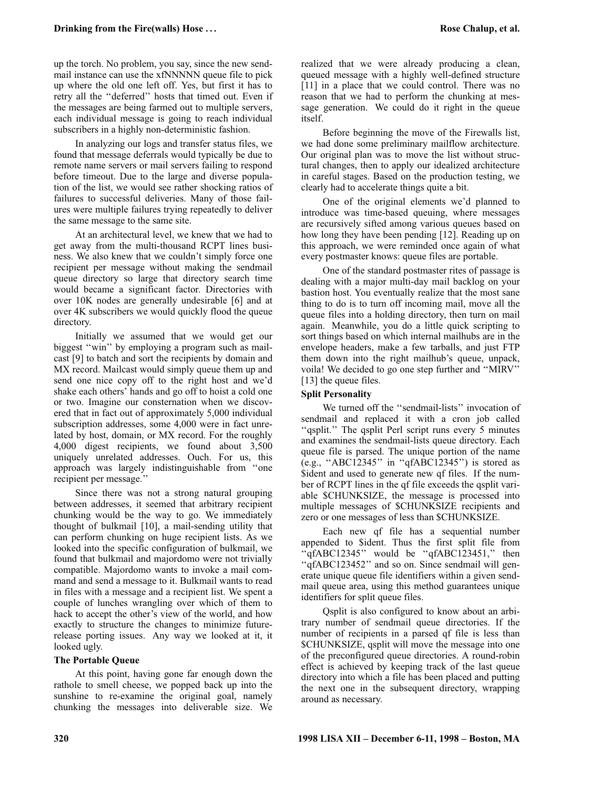up the torch. No problem, you say, since the new sendmail instance can use the xfNNNNN queue file to pick up where the old one left off. Yes, but first it has to retry all the ''deferred'' hosts that timed out. Even if the messages are being farmed out to multiple servers, each individual message is going to reach individual subscribers in a highly non-deterministic fashion.

In analyzing our logs and transfer status files, we found that message deferrals would typically be due to remote name servers or mail servers failing to respond before timeout. Due to the large and diverse population of the list, we would see rather shocking ratios of failures to successful deliveries. Many of those failures were multiple failures trying repeatedly to deliver the same message to the same site.

At an architectural level, we knew that we had to get away from the multi-thousand RCPT lines business. We also knew that we couldn't simply force one recipient per message without making the sendmail queue directory so large that directory search time would became a significant factor. Directories with over 10K nodes are generally undesirable [6] and at over 4K subscribers we would quickly flood the queue directory.

Initially we assumed that we would get our biggest ''win'' by employing a program such as mailcast [9] to batch and sort the recipients by domain and MX record. Mailcast would simply queue them up and send one nice copy off to the right host and we'd shake each others' hands and go off to hoist a cold one or two. Imagine our consternation when we discovered that in fact out of approximately 5,000 individual subscription addresses, some 4,000 were in fact unrelated by host, domain, or MX record. For the roughly 4,000 digest recipients, we found about 3,500 uniquely unrelated addresses. Ouch. For us, this approach was largely indistinguishable from ''one recipient per message.''

Since there was not a strong natural grouping between addresses, it seemed that arbitrary recipient chunking would be the way to go. We immediately thought of bulkmail [10], a mail-sending utility that can perform chunking on huge recipient lists. As we looked into the specific configuration of bulkmail, we found that bulkmail and majordomo were not trivially compatible. Majordomo wants to invoke a mail command and send a message to it. Bulkmail wants to read in files with a message and a recipient list. We spent a couple of lunches wrangling over which of them to hack to accept the other's view of the world, and how exactly to structure the changes to minimize futurerelease porting issues. Any way we looked at it, it looked ugly.

# **The Portable Queue**

At this point, having gone far enough down the rathole to smell cheese, we popped back up into the sunshine to re-examine the original goal, namely chunking the messages into deliverable size. We realized that we were already producing a clean, queued message with a highly well-defined structure [11] in a place that we could control. There was no reason that we had to perform the chunking at message generation. We could do it right in the queue itself.

Before beginning the move of the Firewalls list, we had done some preliminary mailflow architecture. Our original plan was to move the list without structural changes, then to apply our idealized architecture in careful stages. Based on the production testing, we clearly had to accelerate things quite a bit.

One of the original elements we'd planned to introduce was time-based queuing, where messages are recursively sifted among various queues based on how long they have been pending [12]. Reading up on this approach, we were reminded once again of what every postmaster knows: queue files are portable.

One of the standard postmaster rites of passage is dealing with a major multi-day mail backlog on your bastion host. You eventually realize that the most sane thing to do is to turn off incoming mail, move all the queue files into a holding directory, then turn on mail again. Meanwhile, you do a little quick scripting to sort things based on which internal mailhubs are in the envelope headers, make a few tarballs, and just FTP them down into the right mailhub's queue, unpack, voila! We decided to go one step further and ''MIRV'' [13] the queue files.

# **Split Personality**

We turned off the "sendmail-lists" invocation of sendmail and replaced it with a cron job called "qsplit." The qsplit Perl script runs every 5 minutes and examines the sendmail-lists queue directory. Each queue file is parsed. The unique portion of the name (e.g., ''ABC12345'' in ''qfABC12345'') is stored as \$ident and used to generate new qf files. If the number of RCPT lines in the qf file exceeds the qsplit variable \$CHUNKSIZE, the message is processed into multiple messages of \$CHUNKSIZE recipients and zero or one messages of less than \$CHUNKSIZE.

Each new qf file has a sequential number appended to \$ident. Thus the first split file from "qfABC12345" would be "qfABC123451," then ''qfABC123452'' and so on. Since sendmail will generate unique queue file identifiers within a given sendmail queue area, using this method guarantees unique identifiers for split queue files.

Qsplit is also configured to know about an arbitrary number of sendmail queue directories. If the number of recipients in a parsed qf file is less than \$CHUNKSIZE, qsplit will move the message into one of the preconfigured queue directories. A round-robin effect is achieved by keeping track of the last queue directory into which a file has been placed and putting the next one in the subsequent directory, wrapping around as necessary.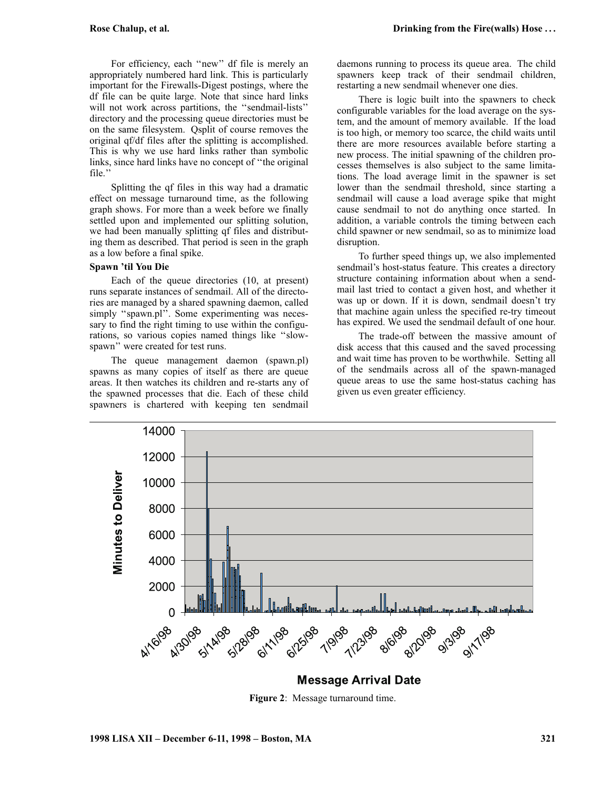For efficiency, each ''new'' df file is merely an appropriately numbered hard link. This is particularly important for the Firewalls-Digest postings, where the df file can be quite large. Note that since hard links will not work across partitions, the "sendmail-lists" directory and the processing queue directories must be on the same filesystem. Qsplit of course removes the original qf/df files after the splitting is accomplished. This is why we use hard links rather than symbolic links, since hard links have no concept of ''the original file.'

Splitting the qf files in this way had a dramatic effect on message turnaround time, as the following graph shows. For more than a week before we finally settled upon and implemented our splitting solution, we had been manually splitting qf files and distributing them as described. That period is seen in the graph as a low before a final spike.

# **Spawn 'til You Die**

Each of the queue directories (10, at present) runs separate instances of sendmail. All of the directories are managed by a shared spawning daemon, called simply "spawn.pl". Some experimenting was necessary to find the right timing to use within the configurations, so various copies named things like ''slowspawn'' were created for test runs.

The queue management daemon (spawn.pl) spawns as many copies of itself as there are queue areas. It then watches its children and re-starts any of the spawned processes that die. Each of these child spawners is chartered with keeping ten sendmail

daemons running to process its queue area. The child spawners keep track of their sendmail children, restarting a new sendmail whenever one dies.

There is logic built into the spawners to check configurable variables for the load average on the system, and the amount of memory available. If the load is too high, or memory too scarce, the child waits until there are more resources available before starting a new process. The initial spawning of the children processes themselves is also subject to the same limitations. The load average limit in the spawner is set lower than the sendmail threshold, since starting a sendmail will cause a load average spike that might cause sendmail to not do anything once started. In addition, a variable controls the timing between each child spawner or new sendmail, so as to minimize load disruption.

To further speed things up, we also implemented sendmail's host-status feature. This creates a directory structure containing information about when a sendmail last tried to contact a given host, and whether it was up or down. If it is down, sendmail doesn't try that machine again unless the specified re-try timeout has expired. We used the sendmail default of one hour.

The trade-off between the massive amount of disk access that this caused and the saved processing and wait time has proven to be worthwhile. Setting all of the sendmails across all of the spawn-managed queue areas to use the same host-status caching has given us even greater efficiency.



**Figure 2**: Message turnaround time.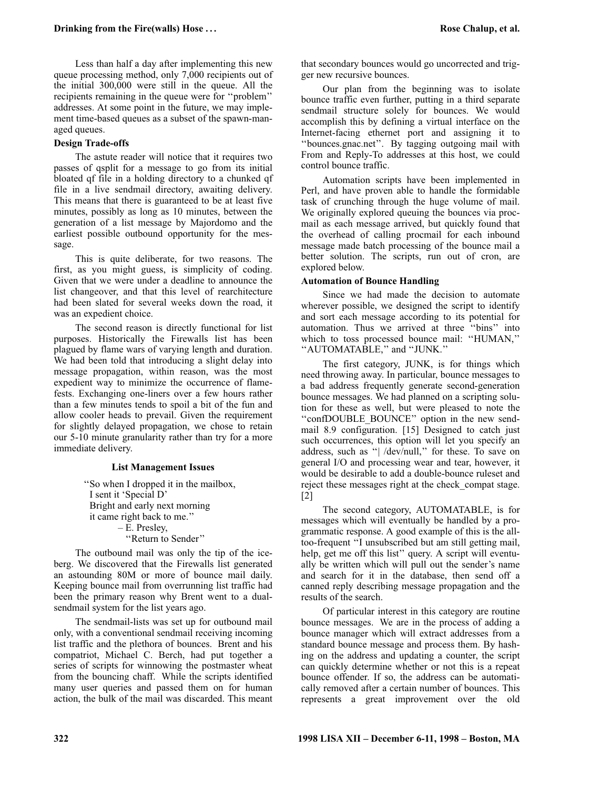Less than half a day after implementing this new queue processing method, only 7,000 recipients out of the initial 300,000 were still in the queue. All the recipients remaining in the queue were for ''problem'' addresses. At some point in the future, we may implement time-based queues as a subset of the spawn-managed queues.

# **Design Trade-offs**

The astute reader will notice that it requires two passes of qsplit for a message to go from its initial bloated qf file in a holding directory to a chunked qf file in a live sendmail directory, awaiting delivery. This means that there is guaranteed to be at least five minutes, possibly as long as 10 minutes, between the generation of a list message by Majordomo and the earliest possible outbound opportunity for the message.

This is quite deliberate, for two reasons. The first, as you might guess, is simplicity of coding. Given that we were under a deadline to announce the list changeover, and that this level of rearchitecture had been slated for several weeks down the road, it was an expedient choice.

The second reason is directly functional for list purposes. Historically the Firewalls list has been plagued by flame wars of varying length and duration. We had been told that introducing a slight delay into message propagation, within reason, was the most expedient way to minimize the occurrence of flamefests. Exchanging one-liners over a few hours rather than a few minutes tends to spoil a bit of the fun and allow cooler heads to prevail. Given the requirement for slightly delayed propagation, we chose to retain our 5-10 minute granularity rather than try for a more immediate delivery.

## **List Management Issues**

''So when I dropped it in the mailbox, I sent it 'Special D' Bright and early next morning it came right back to me.'' – E. Presley, ''Return to Sender''

The outbound mail was only the tip of the iceberg. We discovered that the Firewalls list generated an astounding 80M or more of bounce mail daily. Keeping bounce mail from overrunning list traffic had been the primary reason why Brent went to a dualsendmail system for the list years ago.

The sendmail-lists was set up for outbound mail only, with a conventional sendmail receiving incoming list traffic and the plethora of bounces. Brent and his compatriot, Michael C. Berch, had put together a series of scripts for winnowing the postmaster wheat from the bouncing chaff. While the scripts identified many user queries and passed them on for human action, the bulk of the mail was discarded. This meant that secondary bounces would go uncorrected and trigger new recursive bounces.

Our plan from the beginning was to isolate bounce traffic even further, putting in a third separate sendmail structure solely for bounces. We would accomplish this by defining a virtual interface on the Internet-facing ethernet port and assigning it to ''bounces.gnac.net''. By tagging outgoing mail with From and Reply-To addresses at this host, we could control bounce traffic.

Automation scripts have been implemented in Perl, and have proven able to handle the formidable task of crunching through the huge volume of mail. We originally explored queuing the bounces via procmail as each message arrived, but quickly found that the overhead of calling procmail for each inbound message made batch processing of the bounce mail a better solution. The scripts, run out of cron, are explored below.

## **Automation of Bounce Handling**

Since we had made the decision to automate wherever possible, we designed the script to identify and sort each message according to its potential for automation. Thus we arrived at three ''bins'' into which to toss processed bounce mail: ''HUMAN,'' ''AUTOMATABLE,'' and ''JUNK.''

The first category, JUNK, is for things which need throwing away. In particular, bounce messages to a bad address frequently generate second-generation bounce messages. We had planned on a scripting solution for these as well, but were pleased to note the ''confDOUBLE\_BOUNCE'' option in the new sendmail 8.9 configuration. [15] Designed to catch just such occurrences, this option will let you specify an address, such as ''| /dev/null,'' for these. To save on general I/O and processing wear and tear, however, it would be desirable to add a double-bounce ruleset and reject these messages right at the check\_compat stage. [2]

The second category, AUTOMATABLE, is for messages which will eventually be handled by a programmatic response. A good example of this is the alltoo-frequent ''I unsubscribed but am still getting mail, help, get me off this list" query. A script will eventually be written which will pull out the sender's name and search for it in the database, then send off a canned reply describing message propagation and the results of the search.

Of particular interest in this category are routine bounce messages. We are in the process of adding a bounce manager which will extract addresses from a standard bounce message and process them. By hashing on the address and updating a counter, the script can quickly determine whether or not this is a repeat bounce offender. If so, the address can be automatically removed after a certain number of bounces. This represents a great improvement over the old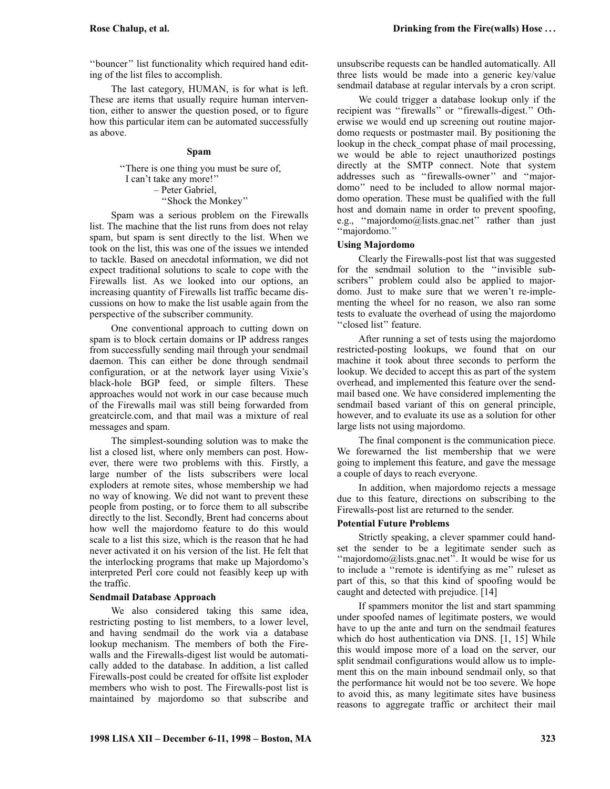''bouncer '' list functionality which required hand editing of the list files to accomplish.

The last category, HUMAN, is for what is left. These are items that usually require human intervention, either to answer the question posed, or to figure how this particular item can be automated successfully as above.

# **Spam**

''There is one thing you must be sure of, I can't take any more!'' – Peter Gabriel, ''Shock the Monkey''

Spam was a serious problem on the Firewalls list. The machine that the list runs from does not relay spam, but spam is sent directly to the list. When we took on the list, this was one of the issues we intended to tackle. Based on anecdotal information, we did not expect traditional solutions to scale to cope with the Firewalls list. As we looked into our options, an increasing quantity of Firewalls list traffic became discussions on how to make the list usable again from the perspective of the subscriber community.

One conventional approach to cutting down on spam is to block certain domains or IP address ranges from successfully sending mail through your sendmail daemon. This can either be done through sendmail configuration, or at the network layer using Vixie's black-hole BGP feed, or simple filters. These approaches would not work in our case because much of the Firewalls mail was still being forwarded from greatcircle.com, and that mail was a mixture of real messages and spam.

The simplest-sounding solution was to make the list a closed list, where only members can post. However, there were two problems with this. Firstly, a large number of the lists subscribers were local exploders at remote sites, whose membership we had no way of knowing. We did not want to prevent these people from posting, or to force them to all subscribe directly to the list. Secondly, Brent had concerns about how well the majordomo feature to do this would scale to a list this size, which is the reason that he had never activated it on his version of the list. He felt that the interlocking programs that make up Majordomo's interpreted Perl core could not feasibly keep up with the traffic.

# **Sendmail Database Approach**

We also considered taking this same idea, restricting posting to list members, to a lower level, and having sendmail do the work via a database lookup mechanism. The members of both the Firewalls and the Firewalls-digest list would be automatically added to the database. In addition, a list called Firewalls-post could be created for offsite list exploder members who wish to post. The Firewalls-post list is maintained by majordomo so that subscribe and

unsubscribe requests can be handled automatically. All three lists would be made into a generic key/value sendmail database at regular intervals by a cron script.

We could trigger a database lookup only if the recipient was ''firewalls'' or ''firewalls-digest.'' Otherwise we would end up screening out routine majordomo requests or postmaster mail. By positioning the lookup in the check compat phase of mail processing, we would be able to reject unauthorized postings directly at the SMTP connect. Note that system addresses such as "firewalls-owner" and "majordomo'' need to be included to allow normal majordomo operation. These must be qualified with the full host and domain name in order to prevent spoofing, e.g., ''majordomo@lists.gnac.net'' rather than just ''majordomo.''

# **Using Majordomo**

Clearly the Firewalls-post list that was suggested for the sendmail solution to the ''invisible subscribers'' problem could also be applied to majordomo. Just to make sure that we weren't re-implementing the wheel for no reason, we also ran some tests to evaluate the overhead of using the majordomo "closed list" feature.

After running a set of tests using the majordomo restricted-posting lookups, we found that on our machine it took about three seconds to perform the lookup. We decided to accept this as part of the system overhead, and implemented this feature over the sendmail based one. We have considered implementing the sendmail based variant of this on general principle, however, and to evaluate its use as a solution for other large lists not using majordomo.

The final component is the communication piece. We forewarned the list membership that we were going to implement this feature, and gave the message a couple of days to reach everyone.

In addition, when majordomo rejects a message due to this feature, directions on subscribing to the Firewalls-post list are returned to the sender.

# **Potential Future Problems**

Strictly speaking, a clever spammer could handset the sender to be a legitimate sender such as "majordomo@lists.gnac.net". It would be wise for us to include a ''remote is identifying as me'' ruleset as part of this, so that this kind of spoofing would be caught and detected with prejudice. [14]

If spammers monitor the list and start spamming under spoofed names of legitimate posters, we would have to up the ante and turn on the sendmail features which do host authentication via DNS. [1, 15] While this would impose more of a load on the server, our split sendmail configurations would allow us to implement this on the main inbound sendmail only, so that the performance hit would not be too severe. We hope to avoid this, as many legitimate sites have business reasons to aggregate traffic or architect their mail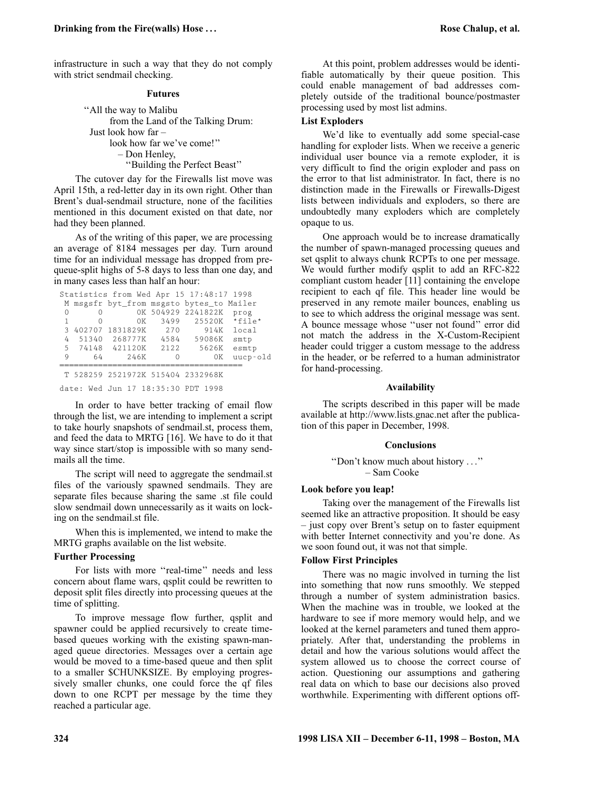infrastructure in such a way that they do not comply with strict sendmail checking.

# **Futures**

''All the way to Malibu from the Land of the Talking Drum: Just look how far – look how far we've come!'' – Don Henley, ''Building the Perfect Beast''

The cutover day for the Firewalls list move was April 15th, a red-letter day in its own right. Other than Brent's dual-sendmail structure, none of the facilities mentioned in this document existed on that date, nor had they been planned.

As of the writing of this paper, we are processing an average of 8184 messages per day. Turn around time for an individual message has dropped from prequeue-split highs of 5-8 days to less than one day, and in many cases less than half an hour:

|   |    |                                    |          | Statistics from Wed Apr 15 17:48:17 1998 |            |  |
|---|----|------------------------------------|----------|------------------------------------------|------------|--|
|   |    |                                    |          | M msgsfr byt_from msgsto bytes_to Mailer |            |  |
| 0 | 0  |                                    |          | OK 504929 2241822K                       | prog       |  |
| 1 | O  | 0K                                 |          | 3499 25520K *file*                       |            |  |
|   |    | 402707 1831829K 270                |          |                                          | 914K local |  |
| 4 |    | 51340 268777K 4584 59086K          |          |                                          | smtp       |  |
| 5 |    | 74148 421120K 2122                 |          | 5626K                                    | esmtp      |  |
| 9 | 64 | 2.46K                              | $\Omega$ | 0K                                       | uucp-old   |  |
|   |    |                                    |          |                                          |            |  |
|   |    | T 528259 2521972K 515404 2332968K  |          |                                          |            |  |
|   |    | date: Wed Jun 17 18:35:30 PDT 1998 |          |                                          |            |  |

In order to have better tracking of email flow through the list, we are intending to implement a script to take hourly snapshots of sendmail.st, process them, and feed the data to MRTG [16]. We have to do it that way since start/stop is impossible with so many sendmails all the time.

The script will need to aggregate the sendmail.st files of the variously spawned sendmails. They are separate files because sharing the same .st file could slow sendmail down unnecessarily as it waits on locking on the sendmail.st file.

When this is implemented, we intend to make the MRTG graphs available on the list website.

# **Further Processing**

For lists with more "real-time" needs and less concern about flame wars, qsplit could be rewritten to deposit split files directly into processing queues at the time of splitting.

To improve message flow further, qsplit and spawner could be applied recursively to create timebased queues working with the existing spawn-managed queue directories. Messages over a certain age would be moved to a time-based queue and then split to a smaller \$CHUNKSIZE. By employing progressively smaller chunks, one could force the qf files down to one RCPT per message by the time they reached a particular age.

At this point, problem addresses would be identifiable automatically by their queue position. This could enable management of bad addresses completely outside of the traditional bounce/postmaster processing used by most list admins.

# **List Exploders**

We'd like to eventually add some special-case handling for exploder lists. When we receive a generic individual user bounce via a remote exploder, it is very difficult to find the origin exploder and pass on the error to that list administrator. In fact, there is no distinction made in the Firewalls or Firewalls-Digest lists between individuals and exploders, so there are undoubtedly many exploders which are completely opaque to us.

One approach would be to increase dramatically the number of spawn-managed processing queues and set qsplit to always chunk RCPTs to one per message. We would further modify qsplit to add an RFC-822 compliant custom header [11] containing the envelope recipient to each qf file. This header line would be preserved in any remote mailer bounces, enabling us to see to which address the original message was sent. A bounce message whose ''user not found'' error did not match the address in the X-Custom-Recipient header could trigger a custom message to the address in the header, or be referred to a human administrator for hand-processing.

## **Availability**

The scripts described in this paper will be made available at http://www.lists.gnac.net after the publication of this paper in December, 1998.

## **Conclusions**

# ''Don't know much about history . . .'' – Sam Cooke

# **Look before you leap!**

Taking over the management of the Firewalls list seemed like an attractive proposition. It should be easy – just copy over Brent's setup on to faster equipment with better Internet connectivity and you're done. As we soon found out, it was not that simple.

# **Follow First Principles**

There was no magic involved in turning the list into something that now runs smoothly. We stepped through a number of system administration basics. When the machine was in trouble, we looked at the hardware to see if more memory would help, and we looked at the kernel parameters and tuned them appropriately. After that, understanding the problems in detail and how the various solutions would affect the system allowed us to choose the correct course of action. Questioning our assumptions and gathering real data on which to base our decisions also proved worthwhile. Experimenting with different options off-